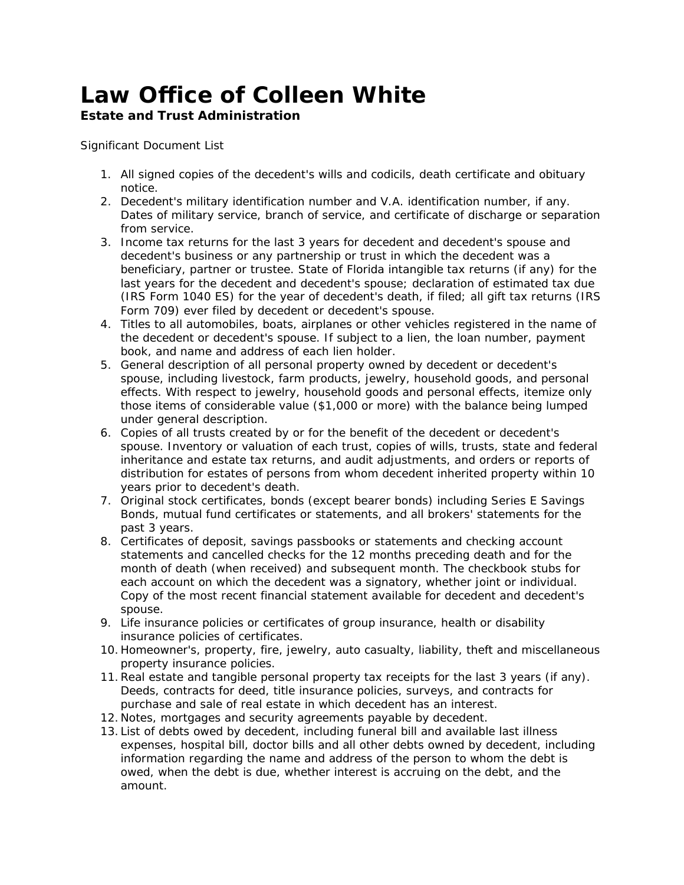## *Law Office of Colleen White*

## **Estate and Trust Administration**

Significant Document List

- 1. All signed copies of the decedent's wills and codicils, death certificate and obituary notice.
- 2. Decedent's military identification number and V.A. identification number, if any. Dates of military service, branch of service, and certificate of discharge or separation from service.
- 3. Income tax returns for the last 3 years for decedent and decedent's spouse and decedent's business or any partnership or trust in which the decedent was a beneficiary, partner or trustee. State of Florida intangible tax returns (if any) for the last years for the decedent and decedent's spouse; declaration of estimated tax due (IRS Form 1040 ES) for the year of decedent's death, if filed; all gift tax returns (IRS Form 709) ever filed by decedent or decedent's spouse.
- 4. Titles to all automobiles, boats, airplanes or other vehicles registered in the name of the decedent or decedent's spouse. If subject to a lien, the loan number, payment book, and name and address of each lien holder.
- 5. General description of all personal property owned by decedent or decedent's spouse, including livestock, farm products, jewelry, household goods, and personal effects. With respect to jewelry, household goods and personal effects, itemize only those items of considerable value (\$1,000 or more) with the balance being lumped under general description.
- 6. Copies of all trusts created by or for the benefit of the decedent or decedent's spouse. Inventory or valuation of each trust, copies of wills, trusts, state and federal inheritance and estate tax returns, and audit adjustments, and orders or reports of distribution for estates of persons from whom decedent inherited property within 10 years prior to decedent's death.
- 7. Original stock certificates, bonds (except bearer bonds) including Series E Savings Bonds, mutual fund certificates or statements, and all brokers' statements for the past 3 years.
- 8. Certificates of deposit, savings passbooks or statements and checking account statements and cancelled checks for the 12 months preceding death and for the month of death (when received) and subsequent month. The checkbook stubs for each account on which the decedent was a signatory, whether joint or individual. Copy of the most recent financial statement available for decedent and decedent's spouse.
- 9. Life insurance policies or certificates of group insurance, health or disability insurance policies of certificates.
- 10. Homeowner's, property, fire, jewelry, auto casualty, liability, theft and miscellaneous property insurance policies.
- 11.Real estate and tangible personal property tax receipts for the last 3 years (if any). Deeds, contracts for deed, title insurance policies, surveys, and contracts for purchase and sale of real estate in which decedent has an interest.
- 12. Notes, mortgages and security agreements payable by decedent.
- 13. List of debts owed by decedent, including funeral bill and available last illness expenses, hospital bill, doctor bills and all other debts owned by decedent, including information regarding the name and address of the person to whom the debt is owed, when the debt is due, whether interest is accruing on the debt, and the amount.